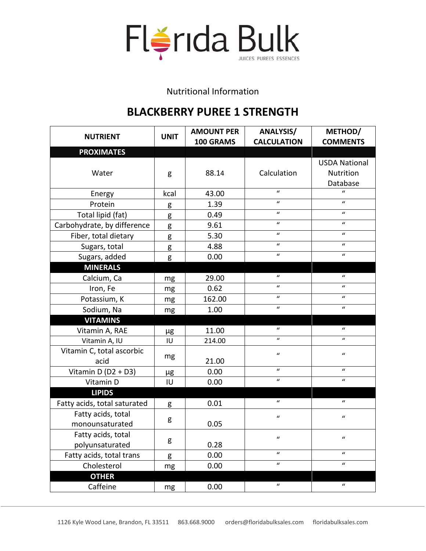

Nutritional Information

## **BLACKBERRY PUREE 1 STRENGTH**

| <b>NUTRIENT</b>              | <b>UNIT</b> | <b>AMOUNT PER</b> | <b>ANALYSIS/</b>   | METHOD/              |
|------------------------------|-------------|-------------------|--------------------|----------------------|
|                              |             | 100 GRAMS         | <b>CALCULATION</b> | <b>COMMENTS</b>      |
| <b>PROXIMATES</b>            |             |                   |                    |                      |
|                              |             |                   |                    | <b>USDA National</b> |
| Water                        | g           | 88.14             | Calculation        | Nutrition            |
|                              |             |                   |                    | Database             |
| Energy                       | kcal        | 43.00             | $\boldsymbol{u}$   | $\boldsymbol{u}$     |
| Protein                      | g           | 1.39              | $\boldsymbol{u}$   | $\boldsymbol{u}$     |
| Total lipid (fat)            | g           | 0.49              | $\boldsymbol{u}$   | $\boldsymbol{u}$     |
| Carbohydrate, by difference  | g           | 9.61              | $\boldsymbol{u}$   | $\boldsymbol{u}$     |
| Fiber, total dietary         | g           | 5.30              | $\boldsymbol{u}$   | $\boldsymbol{u}$     |
| Sugars, total                | g           | 4.88              | $\boldsymbol{u}$   | $\boldsymbol{u}$     |
| Sugars, added                | g           | 0.00              | $\boldsymbol{u}$   | $\boldsymbol{u}$     |
| <b>MINERALS</b>              |             |                   |                    |                      |
| Calcium, Ca                  | mg          | 29.00             | $\boldsymbol{u}$   | $\boldsymbol{u}$     |
| Iron, Fe                     | mg          | 0.62              | $\boldsymbol{u}$   | $\boldsymbol{u}$     |
| Potassium, K                 | mg          | 162.00            | $\boldsymbol{u}$   | $\boldsymbol{u}$     |
| Sodium, Na                   | mg          | 1.00              | $\boldsymbol{u}$   | $\boldsymbol{u}$     |
| <b>VITAMINS</b>              |             |                   |                    |                      |
| Vitamin A, RAE               | μg          | 11.00             | $\mathcal{U}$      | $\boldsymbol{u}$     |
| Vitamin A, IU                | IU          | 214.00            | $\boldsymbol{u}$   | $\mathbf{u}$         |
| Vitamin C, total ascorbic    |             |                   | $\boldsymbol{u}$   | $\boldsymbol{u}$     |
| acid                         | mg          | 21.00             |                    |                      |
| Vitamin D (D2 + D3)          | μg          | 0.00              | $\boldsymbol{u}$   | $\boldsymbol{u}$     |
| Vitamin D                    | $I\cup$     | 0.00              | $\boldsymbol{u}$   | $\boldsymbol{u}$     |
| <b>LIPIDS</b>                |             |                   |                    |                      |
| Fatty acids, total saturated | g           | 0.01              | $\boldsymbol{u}$   | $\boldsymbol{u}$     |
| Fatty acids, total           |             |                   | $\boldsymbol{u}$   | $\boldsymbol{u}$     |
| monounsaturated              | g           | 0.05              |                    |                      |
| Fatty acids, total           |             |                   | "                  |                      |
| polyunsaturated              | g           | 0.28              |                    |                      |
| Fatty acids, total trans     | g           | 0.00              | $\boldsymbol{u}$   | $\boldsymbol{u}$     |
| Cholesterol                  | mg          | 0.00              | $\boldsymbol{u}$   | $\boldsymbol{u}$     |
| <b>OTHER</b>                 |             |                   |                    |                      |
| Caffeine                     | mg          | 0.00              | $\boldsymbol{u}$   | $\boldsymbol{u}$     |